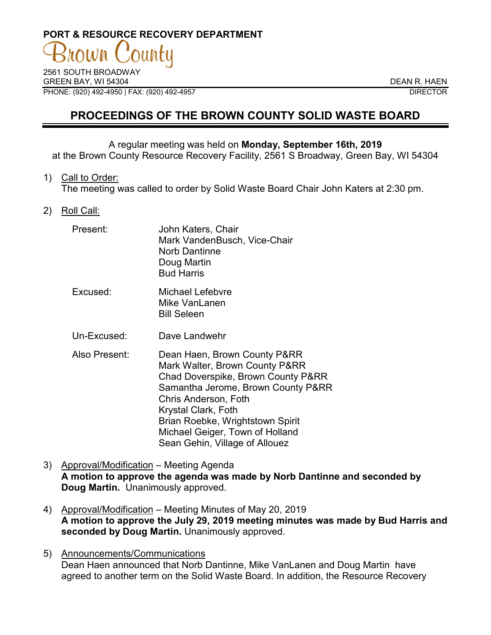# **PORT & RESOURCE RECOVERY DEPARTMENT**

2561 SOUTH BROADWAY GREEN BAY, WI 54304 DEAN R. HAEN PHONE: (920) 492-4950 | FAX: (920) 492-4957 DIRECTOR

## **PROCEEDINGS OF THE BROWN COUNTY SOLID WASTE BOARD**

#### A regular meeting was held on **Monday, September 16th, 2019** at the Brown County Resource Recovery Facility, 2561 S Broadway, Green Bay, WI 54304

1) Call to Order:

The meeting was called to order by Solid Waste Board Chair John Katers at 2:30 pm.

2) Roll Call:

| Present:        | John Katers, Chair<br>Mark VandenBusch, Vice-Chair<br>Norb Dantinne<br>Doug Martin<br><b>Bud Harris</b> |
|-----------------|---------------------------------------------------------------------------------------------------------|
| <b>Excused:</b> | Michael Lefebyre                                                                                        |

- Excused: Michael Lefebvre Mike VanLanen Bill Seleen
- Un-Excused: Dave Landwehr
- Also Present: Dean Haen, Brown County P&RR Mark Walter, Brown County P&RR Chad Doverspike, Brown County P&RR Samantha Jerome, Brown County P&RR Chris Anderson, Foth Krystal Clark, Foth Brian Roebke, Wrightstown Spirit Michael Geiger, Town of Holland Sean Gehin, Village of Allouez
- 3) Approval/Modification Meeting Agenda **A motion to approve the agenda was made by Norb Dantinne and seconded by Doug Martin.** Unanimously approved.
- 4) Approval/Modification Meeting Minutes of May 20, 2019 **A motion to approve the July 29, 2019 meeting minutes was made by Bud Harris and seconded by Doug Martin.** Unanimously approved.
- 5) Announcements/Communications Dean Haen announced that Norb Dantinne, Mike VanLanen and Doug Martin have agreed to another term on the Solid Waste Board. In addition, the Resource Recovery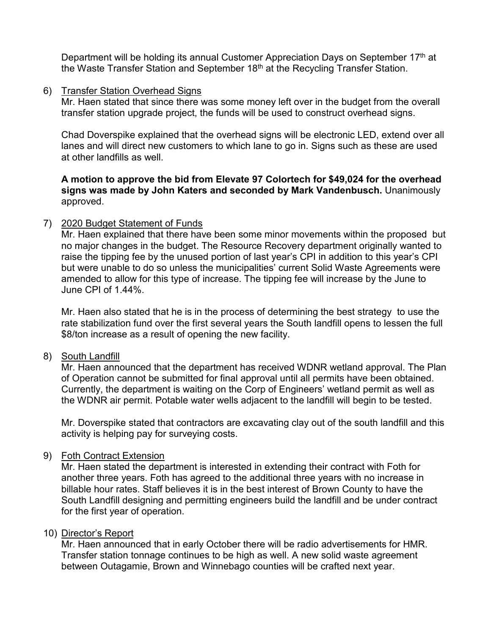Department will be holding its annual Customer Appreciation Days on September 17<sup>th</sup> at the Waste Transfer Station and September 18<sup>th</sup> at the Recycling Transfer Station.

#### 6) Transfer Station Overhead Signs

Mr. Haen stated that since there was some money left over in the budget from the overall transfer station upgrade project, the funds will be used to construct overhead signs.

Chad Doverspike explained that the overhead signs will be electronic LED, extend over all lanes and will direct new customers to which lane to go in. Signs such as these are used at other landfills as well.

**A motion to approve the bid from Elevate 97 Colortech for \$49,024 for the overhead signs was made by John Katers and seconded by Mark Vandenbusch.** Unanimously approved.

#### 7) 2020 Budget Statement of Funds

Mr. Haen explained that there have been some minor movements within the proposed but no major changes in the budget. The Resource Recovery department originally wanted to raise the tipping fee by the unused portion of last year's CPI in addition to this year's CPI but were unable to do so unless the municipalities' current Solid Waste Agreements were amended to allow for this type of increase. The tipping fee will increase by the June to June CPI of 1.44%.

Mr. Haen also stated that he is in the process of determining the best strategy to use the rate stabilization fund over the first several years the South landfill opens to lessen the full \$8/ton increase as a result of opening the new facility.

### 8) South Landfill

Mr. Haen announced that the department has received WDNR wetland approval. The Plan of Operation cannot be submitted for final approval until all permits have been obtained. Currently, the department is waiting on the Corp of Engineers' wetland permit as well as the WDNR air permit. Potable water wells adjacent to the landfill will begin to be tested.

Mr. Doverspike stated that contractors are excavating clay out of the south landfill and this activity is helping pay for surveying costs.

### 9) Foth Contract Extension

Mr. Haen stated the department is interested in extending their contract with Foth for another three years. Foth has agreed to the additional three years with no increase in billable hour rates. Staff believes it is in the best interest of Brown County to have the South Landfill designing and permitting engineers build the landfill and be under contract for the first year of operation.

### 10) Director's Report

Mr. Haen announced that in early October there will be radio advertisements for HMR. Transfer station tonnage continues to be high as well. A new solid waste agreement between Outagamie, Brown and Winnebago counties will be crafted next year.